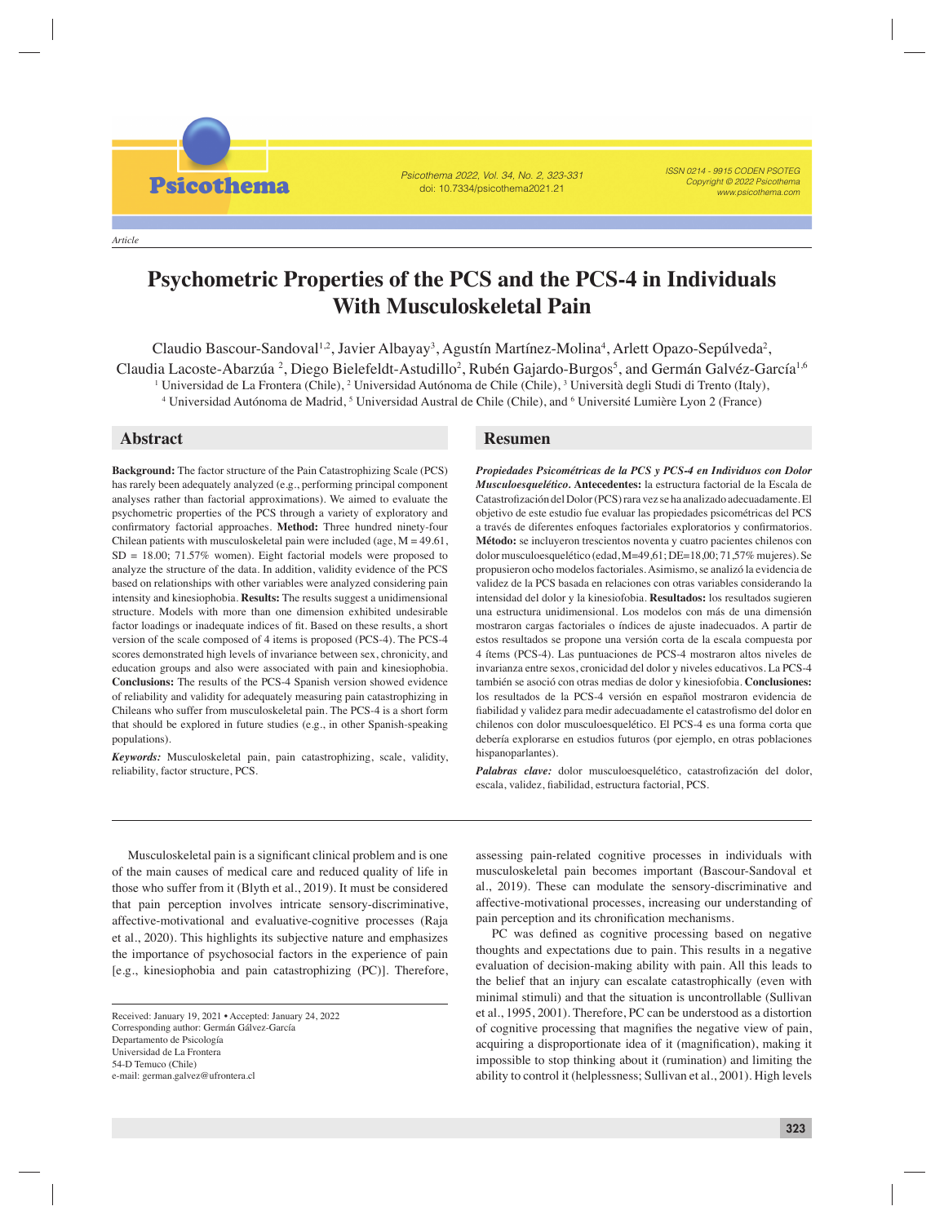*Article*

**Psicothema** 

Psicothema 2022, Vol. 34, No. 2, 323-331 doi: 10.7334/psicothema2021.21

ISSN 0214 - 9915 CODEN PSOTEG Copyright © 2022 Psicothema www.psicothema.com

# **Psychometric Properties of the PCS and the PCS-4 in Individuals With Musculoskeletal Pain**

Claudio Bascour-Sandoval<sup>1,2</sup>, Javier Albayay<sup>3</sup>, Agustín Martínez-Molina<sup>4</sup>, Arlett Opazo-Sepúlveda<sup>2</sup>, Claudia Lacoste-Abarzúa <sup>2</sup>, Diego Bielefeldt-Astudillo<sup>2</sup>, Rubén Gajardo-Burgos<sup>5</sup>, and Germán Galvéz-García<sup>1,6</sup>  $^1$  Universidad de La Frontera (Chile),  $^2$  Universidad Autónoma de Chile (Chile),  $^3$  Università degli Studi di Trento (Italy), <sup>4</sup> Universidad Autónoma de Madrid, <sup>5</sup> Universidad Austral de Chile (Chile), and <sup>6</sup> Université Lumière Lyon 2 (France)

**Background:** The factor structure of the Pain Catastrophizing Scale (PCS) has rarely been adequately analyzed (e.g., performing principal component analyses rather than factorial approximations). We aimed to evaluate the psychometric properties of the PCS through a variety of exploratory and confirmatory factorial approaches. Method: Three hundred ninety-four Chilean patients with musculoskeletal pain were included (age,  $M = 49.61$ , SD = 18.00; 71.57% women). Eight factorial models were proposed to analyze the structure of the data. In addition, validity evidence of the PCS based on relationships with other variables were analyzed considering pain intensity and kinesiophobia. **Results:** The results suggest a unidimensional structure. Models with more than one dimension exhibited undesirable factor loadings or inadequate indices of fit. Based on these results, a short version of the scale composed of 4 items is proposed (PCS-4). The PCS-4 scores demonstrated high levels of invariance between sex, chronicity, and education groups and also were associated with pain and kinesiophobia. **Conclusions:** The results of the PCS-4 Spanish version showed evidence of reliability and validity for adequately measuring pain catastrophizing in Chileans who suffer from musculoskeletal pain. The PCS-4 is a short form that should be explored in future studies (e.g., in other Spanish-speaking populations).

*Keywords:* Musculoskeletal pain, pain catastrophizing, scale, validity, reliability, factor structure, PCS.

# **Abstract Resumen**

*Propiedades Psicométricas de la PCS y PCS-4 en Individuos con Dolor Musculoesquelético.* **Antecedentes:** la estructura factorial de la Escala de Catastrofización del Dolor (PCS) rara vez se ha analizado adecuadamente. El objetivo de este estudio fue evaluar las propiedades psicométricas del PCS a través de diferentes enfoques factoriales exploratorios y confirmatorios. **Método:** se incluyeron trescientos noventa y cuatro pacientes chilenos con dolor musculoesquelético (edad, M=49,61; DE=18,00; 71,57% mujeres). Se propusieron ocho modelos factoriales. Asimismo, se analizó la evidencia de validez de la PCS basada en relaciones con otras variables considerando la intensidad del dolor y la kinesiofobia. **Resultados:** los resultados sugieren una estructura unidimensional. Los modelos con más de una dimensión mostraron cargas factoriales o índices de ajuste inadecuados. A partir de estos resultados se propone una versión corta de la escala compuesta por 4 ítems (PCS-4). Las puntuaciones de PCS-4 mostraron altos niveles de invarianza entre sexos, cronicidad del dolor y niveles educativos. La PCS-4 también se asoció con otras medias de dolor y kinesiofobia. **Conclusiones:** los resultados de la PCS-4 versión en español mostraron evidencia de fiabilidad y validez para medir adecuadamente el catastrofismo del dolor en chilenos con dolor musculoesquelético. El PCS-4 es una forma corta que debería explorarse en estudios futuros (por ejemplo, en otras poblaciones hispanoparlantes).

Palabras clave: dolor musculoesquelético, catastrofización del dolor, escala, validez, fiabilidad, estructura factorial, PCS.

Musculoskeletal pain is a significant clinical problem and is one of the main causes of medical care and reduced quality of life in those who suffer from it (Blyth et al., 2019). It must be considered that pain perception involves intricate sensory-discriminative, affective-motivational and evaluative-cognitive processes (Raja et al., 2020). This highlights its subjective nature and emphasizes the importance of psychosocial factors in the experience of pain [e.g., kinesiophobia and pain catastrophizing (PC)]. Therefore,

assessing pain-related cognitive processes in individuals with musculoskeletal pain becomes important (Bascour-Sandoval et al., 2019). These can modulate the sensory-discriminative and affective-motivational processes, increasing our understanding of pain perception and its chronification mechanisms.

PC was defined as cognitive processing based on negative thoughts and expectations due to pain. This results in a negative evaluation of decision-making ability with pain. All this leads to the belief that an injury can escalate catastrophically (even with minimal stimuli) and that the situation is uncontrollable (Sullivan et al., 1995, 2001). Therefore, PC can be understood as a distortion of cognitive processing that magnifies the negative view of pain, acquiring a disproportionate idea of it (magnification), making it impossible to stop thinking about it (rumination) and limiting the ability to control it (helplessness; Sullivan et al., 2001). High levels

Received: January 19, 2021 • Accepted: January 24, 2022 Corresponding author: Germán Gálvez-García Departamento de Psicología Universidad de La Frontera 54-D Temuco (Chile) e-mail: german.galvez@ufrontera.cl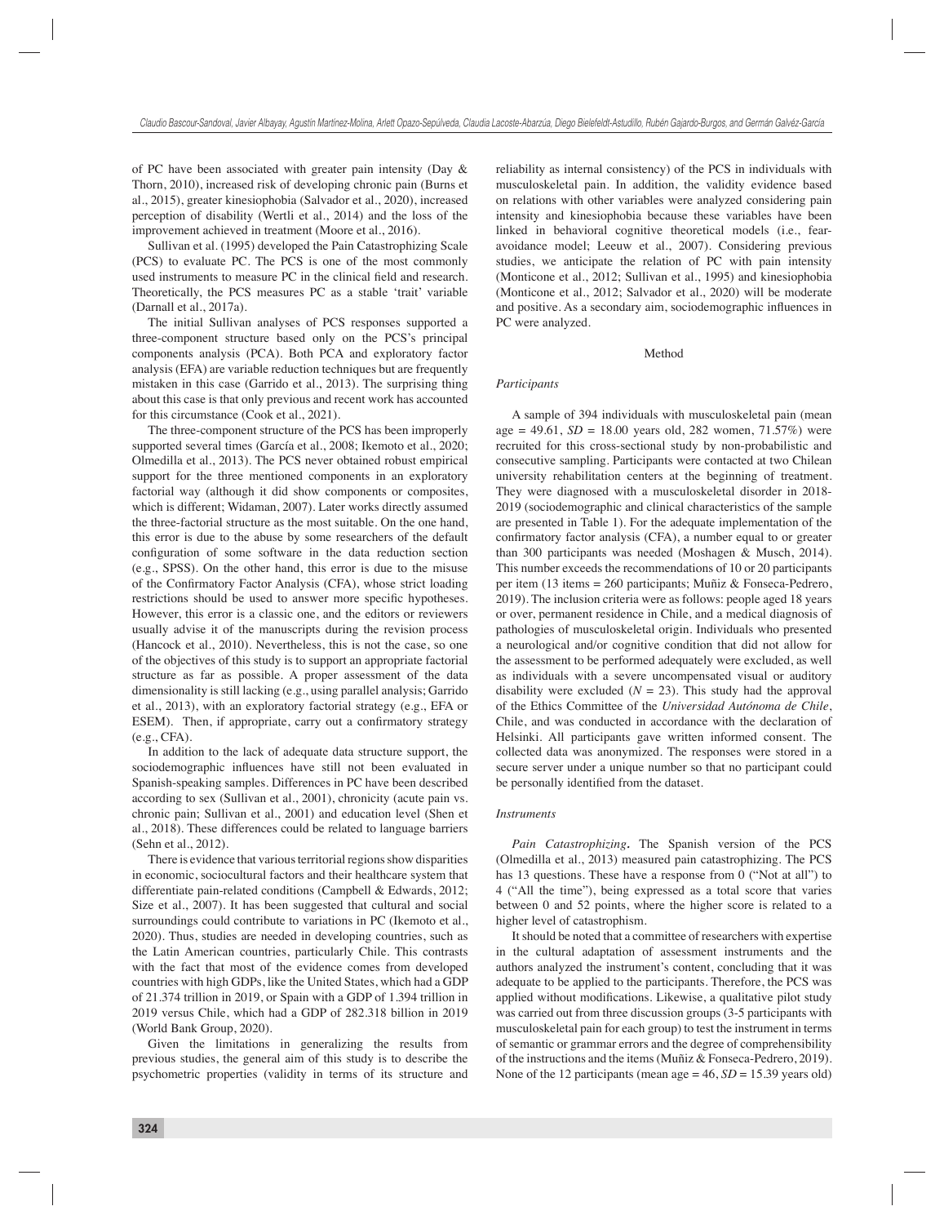of PC have been associated with greater pain intensity (Day & Thorn, 2010), increased risk of developing chronic pain (Burns et al., 2015), greater kinesiophobia (Salvador et al., 2020), increased perception of disability (Wertli et al., 2014) and the loss of the improvement achieved in treatment (Moore et al., 2016).

Sullivan et al. (1995) developed the Pain Catastrophizing Scale (PCS) to evaluate PC. The PCS is one of the most commonly used instruments to measure PC in the clinical field and research. Theoretically, the PCS measures PC as a stable 'trait' variable (Darnall et al., 2017a).

The initial Sullivan analyses of PCS responses supported a three-component structure based only on the PCS's principal components analysis (PCA). Both PCA and exploratory factor analysis (EFA) are variable reduction techniques but are frequently mistaken in this case (Garrido et al., 2013). The surprising thing about this case is that only previous and recent work has accounted for this circumstance (Cook et al., 2021).

The three-component structure of the PCS has been improperly supported several times (García et al., 2008; Ikemoto et al., 2020; Olmedilla et al., 2013). The PCS never obtained robust empirical support for the three mentioned components in an exploratory factorial way (although it did show components or composites, which is different; Widaman, 2007). Later works directly assumed the three-factorial structure as the most suitable. On the one hand, this error is due to the abuse by some researchers of the default configuration of some software in the data reduction section (e.g., SPSS). On the other hand, this error is due to the misuse of the Confirmatory Factor Analysis (CFA), whose strict loading restrictions should be used to answer more specific hypotheses. However, this error is a classic one, and the editors or reviewers usually advise it of the manuscripts during the revision process (Hancock et al., 2010). Nevertheless, this is not the case, so one of the objectives of this study is to support an appropriate factorial structure as far as possible. A proper assessment of the data dimensionality is still lacking (e.g., using parallel analysis; Garrido et al., 2013), with an exploratory factorial strategy (e.g., EFA or ESEM). Then, if appropriate, carry out a confirmatory strategy (e.g., CFA).

In addition to the lack of adequate data structure support, the sociodemographic influences have still not been evaluated in Spanish-speaking samples. Differences in PC have been described according to sex (Sullivan et al., 2001), chronicity (acute pain vs. chronic pain; Sullivan et al., 2001) and education level (Shen et al., 2018). These differences could be related to language barriers (Sehn et al., 2012).

There is evidence that various territorial regions show disparities in economic, sociocultural factors and their healthcare system that differentiate pain-related conditions (Campbell & Edwards, 2012; Size et al., 2007). It has been suggested that cultural and social surroundings could contribute to variations in PC (Ikemoto et al., 2020). Thus, studies are needed in developing countries, such as the Latin American countries, particularly Chile. This contrasts with the fact that most of the evidence comes from developed countries with high GDPs, like the United States, which had a GDP of 21.374 trillion in 2019, or Spain with a GDP of 1.394 trillion in 2019 versus Chile, which had a GDP of 282.318 billion in 2019 (World Bank Group, 2020).

Given the limitations in generalizing the results from previous studies, the general aim of this study is to describe the psychometric properties (validity in terms of its structure and reliability as internal consistency) of the PCS in individuals with musculoskeletal pain. In addition, the validity evidence based on relations with other variables were analyzed considering pain intensity and kinesiophobia because these variables have been linked in behavioral cognitive theoretical models (i.e., fearavoidance model; Leeuw et al., 2007). Considering previous studies, we anticipate the relation of PC with pain intensity (Monticone et al., 2012; Sullivan et al., 1995) and kinesiophobia (Monticone et al., 2012; Salvador et al., 2020) will be moderate and positive. As a secondary aim, sociodemographic influences in PC were analyzed.

#### Method

# *Participants*

A sample of 394 individuals with musculoskeletal pain (mean  $age = 49.61$ ,  $SD = 18.00$  years old, 282 women, 71.57%) were recruited for this cross-sectional study by non-probabilistic and consecutive sampling. Participants were contacted at two Chilean university rehabilitation centers at the beginning of treatment. They were diagnosed with a musculoskeletal disorder in 2018- 2019 (sociodemographic and clinical characteristics of the sample are presented in Table 1). For the adequate implementation of the confirmatory factor analysis (CFA), a number equal to or greater than 300 participants was needed (Moshagen & Musch, 2014). This number exceeds the recommendations of 10 or 20 participants per item (13 items = 260 participants; Muñiz & Fonseca-Pedrero, 2019). The inclusion criteria were as follows: people aged 18 years or over, permanent residence in Chile, and a medical diagnosis of pathologies of musculoskeletal origin. Individuals who presented a neurological and/or cognitive condition that did not allow for the assessment to be performed adequately were excluded, as well as individuals with a severe uncompensated visual or auditory disability were excluded  $(N = 23)$ . This study had the approval of the Ethics Committee of the *Universidad Autónoma de Chile*, Chile, and was conducted in accordance with the declaration of Helsinki. All participants gave written informed consent. The collected data was anonymized. The responses were stored in a secure server under a unique number so that no participant could be personally identified from the dataset.

#### *Instruments*

*Pain Catastrophizing.* The Spanish version of the PCS (Olmedilla et al., 2013) measured pain catastrophizing. The PCS has 13 questions. These have a response from 0 ("Not at all") to 4 ("All the time"), being expressed as a total score that varies between 0 and 52 points, where the higher score is related to a higher level of catastrophism.

It should be noted that a committee of researchers with expertise in the cultural adaptation of assessment instruments and the authors analyzed the instrument's content, concluding that it was adequate to be applied to the participants. Therefore, the PCS was applied without modifications. Likewise, a qualitative pilot study was carried out from three discussion groups (3-5 participants with musculoskeletal pain for each group) to test the instrument in terms of semantic or grammar errors and the degree of comprehensibility of the instructions and the items (Muñiz & Fonseca-Pedrero, 2019). None of the 12 participants (mean age  $= 46$ ,  $SD = 15.39$  years old)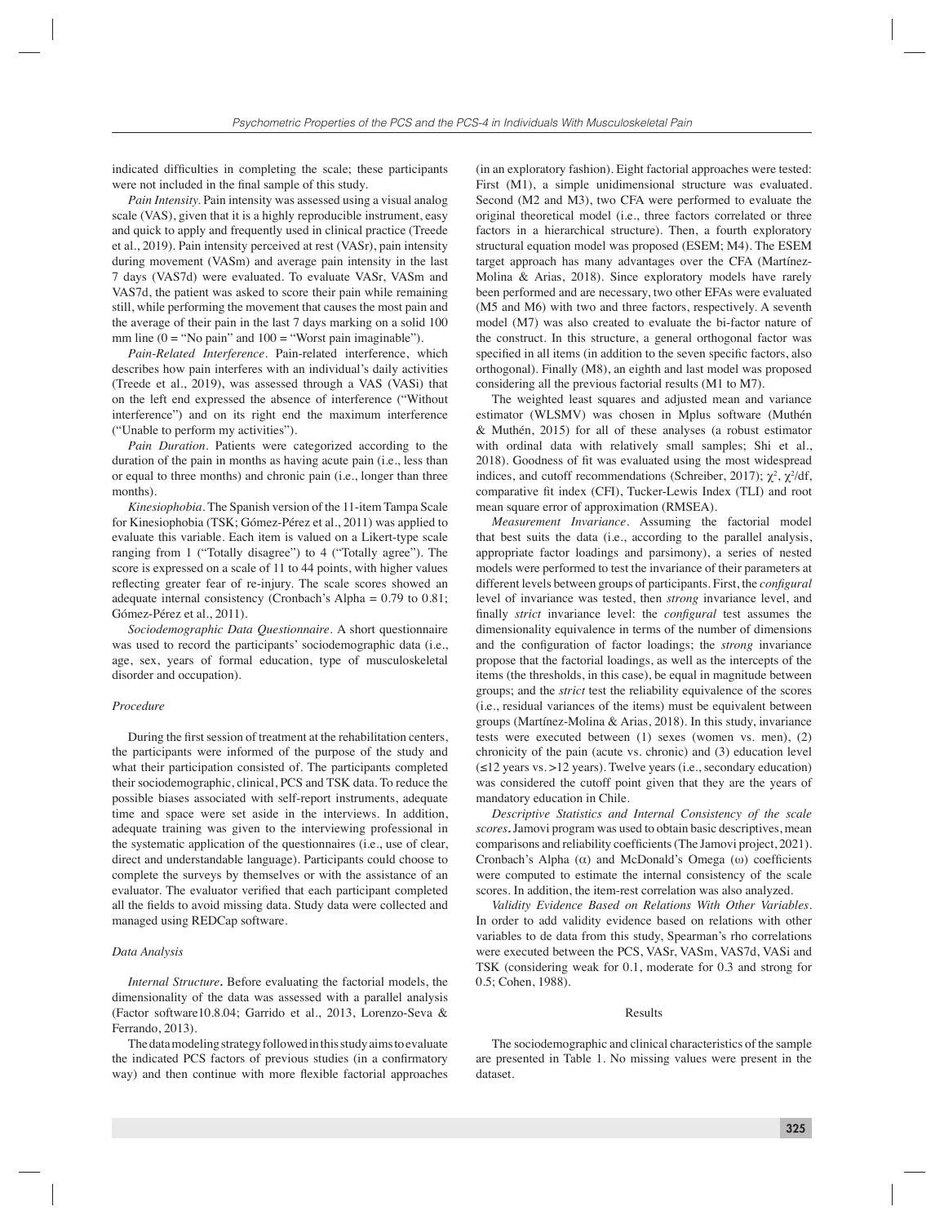indicated difficulties in completing the scale; these participants were not included in the final sample of this study.

*Pain Intensity.* Pain intensity was assessed using a visual analog scale (VAS), given that it is a highly reproducible instrument, easy and quick to apply and frequently used in clinical practice (Treede et al., 2019). Pain intensity perceived at rest (VASr), pain intensity during movement (VASm) and average pain intensity in the last 7 days (VAS7d) were evaluated. To evaluate VASr, VASm and VAS7d, the patient was asked to score their pain while remaining still, while performing the movement that causes the most pain and the average of their pain in the last 7 days marking on a solid 100 mm line  $(0 = "No pain"$  and  $100 = "Worst pain image intable").$ 

*Pain-Related Interference.* Pain-related interference, which describes how pain interferes with an individual's daily activities (Treede et al., 2019), was assessed through a VAS (VASi) that on the left end expressed the absence of interference ("Without interference") and on its right end the maximum interference ("Unable to perform my activities").

*Pain Duration.* Patients were categorized according to the duration of the pain in months as having acute pain (i.e., less than or equal to three months) and chronic pain (i.e., longer than three months).

*Kinesiophobia.* The Spanish version of the 11-item Tampa Scale for Kinesiophobia (TSK; Gómez-Pérez et al., 2011) was applied to evaluate this variable. Each item is valued on a Likert-type scale ranging from 1 ("Totally disagree") to 4 ("Totally agree"). The score is expressed on a scale of 11 to 44 points, with higher values reflecting greater fear of re-injury. The scale scores showed an adequate internal consistency (Cronbach's Alpha =  $0.79$  to  $0.81$ ; Gómez-Pérez et al., 2011).

*Sociodemographic Data Questionnaire.* A short questionnaire was used to record the participants' sociodemographic data (i.e., age, sex, years of formal education, type of musculoskeletal disorder and occupation).

#### *Procedure*

During the first session of treatment at the rehabilitation centers, the participants were informed of the purpose of the study and what their participation consisted of. The participants completed their sociodemographic, clinical, PCS and TSK data. To reduce the possible biases associated with self-report instruments, adequate time and space were set aside in the interviews. In addition, adequate training was given to the interviewing professional in the systematic application of the questionnaires (i.e., use of clear, direct and understandable language). Participants could choose to complete the surveys by themselves or with the assistance of an evaluator. The evaluator verified that each participant completed all the fields to avoid missing data. Study data were collected and managed using REDCap software.

# *Data Analysis*

*Internal Structure.* Before evaluating the factorial models, the dimensionality of the data was assessed with a parallel analysis (Factor software10.8.04; Garrido et al., 2013, Lorenzo-Seva & Ferrando, 2013).

The data modeling strategy followed in this study aims to evaluate the indicated PCS factors of previous studies (in a confirmatory way) and then continue with more flexible factorial approaches

(in an exploratory fashion). Eight factorial approaches were tested: First (M1), a simple unidimensional structure was evaluated. Second (M2 and M3), two CFA were performed to evaluate the original theoretical model (i.e., three factors correlated or three factors in a hierarchical structure). Then, a fourth exploratory structural equation model was proposed (ESEM; M4). The ESEM target approach has many advantages over the CFA (Martínez-Molina & Arias, 2018). Since exploratory models have rarely been performed and are necessary, two other EFAs were evaluated (M5 and M6) with two and three factors, respectively. A seventh model (M7) was also created to evaluate the bi-factor nature of the construct. In this structure, a general orthogonal factor was specified in all items (in addition to the seven specific factors, also orthogonal). Finally (M8), an eighth and last model was proposed considering all the previous factorial results (M1 to M7).

The weighted least squares and adjusted mean and variance estimator (WLSMV) was chosen in Mplus software (Muthén & Muthén, 2015) for all of these analyses (a robust estimator with ordinal data with relatively small samples; Shi et al., 2018). Goodness of fit was evaluated using the most widespread indices, and cutoff recommendations (Schreiber, 2017);  $\chi^2$ ,  $\chi^2$ /df, comparative fit index (CFI), Tucker-Lewis Index (TLI) and root mean square error of approximation (RMSEA).

*Measurement Invariance.* Assuming the factorial model that best suits the data (i.e., according to the parallel analysis, appropriate factor loadings and parsimony), a series of nested models were performed to test the invariance of their parameters at different levels between groups of participants. First, the *configural* level of invariance was tested, then *strong* invariance level, and finally *strict* invariance level: the *configural* test assumes the dimensionality equivalence in terms of the number of dimensions and the configuration of factor loadings; the *strong* invariance propose that the factorial loadings, as well as the intercepts of the items (the thresholds, in this case), be equal in magnitude between groups; and the *strict* test the reliability equivalence of the scores (i.e., residual variances of the items) must be equivalent between groups (Martínez-Molina & Arias, 2018). In this study, invariance tests were executed between (1) sexes (women vs. men), (2) chronicity of the pain (acute vs. chronic) and (3) education level (≤12 years vs. >12 years). Twelve years (i.e., secondary education) was considered the cutoff point given that they are the years of mandatory education in Chile.

*Descriptive Statistics and Internal Consistency of the scale scores.* Jamovi program was used to obtain basic descriptives, mean comparisons and reliability coefficients (The Jamovi project, 2021). Cronbach's Alpha  $(\alpha)$  and McDonald's Omega  $(\omega)$  coefficients were computed to estimate the internal consistency of the scale scores. In addition, the item-rest correlation was also analyzed.

*Validity Evidence Based on Relations With Other Variables.*  In order to add validity evidence based on relations with other variables to de data from this study, Spearman's rho correlations were executed between the PCS, VASr, VASm, VAS7d, VASi and TSK (considering weak for 0.1, moderate for 0.3 and strong for 0.5; Cohen, 1988).

#### Results

The sociodemographic and clinical characteristics of the sample are presented in Table 1. No missing values were present in the dataset.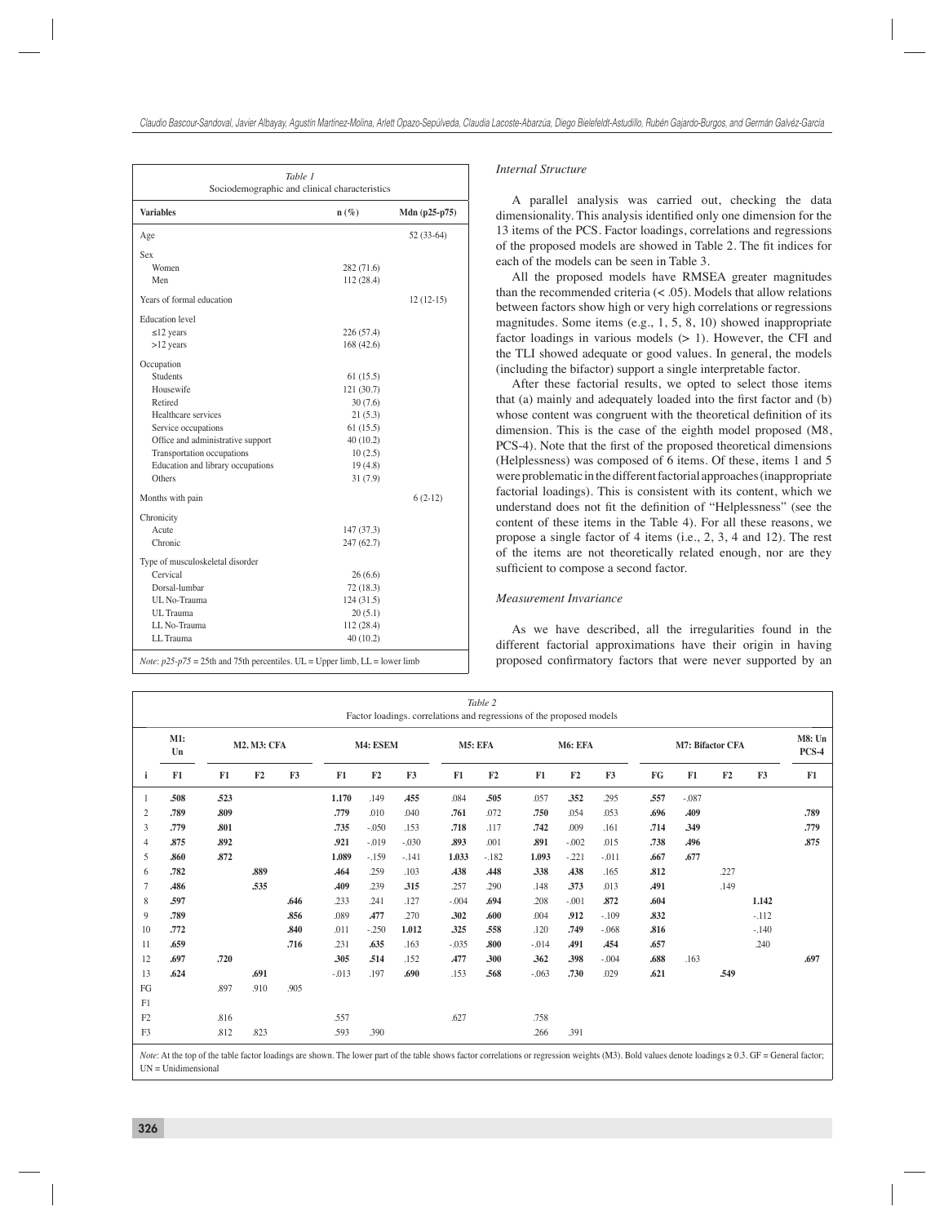| Table 1<br>Sociodemographic and clinical characteristics |            |               |  |  |  |  |  |  |
|----------------------------------------------------------|------------|---------------|--|--|--|--|--|--|
| <b>Variables</b>                                         | $n(\%)$    | Mdn (p25-p75) |  |  |  |  |  |  |
| Age                                                      |            | 52 (33-64)    |  |  |  |  |  |  |
| Sex                                                      |            |               |  |  |  |  |  |  |
| Women                                                    | 282 (71.6) |               |  |  |  |  |  |  |
| Men                                                      | 112 (28.4) |               |  |  |  |  |  |  |
| Years of formal education                                |            | $12(12-15)$   |  |  |  |  |  |  |
| <b>Education</b> level                                   |            |               |  |  |  |  |  |  |
| $\leq$ 12 years                                          | 226 (57.4) |               |  |  |  |  |  |  |
| $>12$ years                                              | 168 (42.6) |               |  |  |  |  |  |  |
| Occupation                                               |            |               |  |  |  |  |  |  |
| <b>Students</b>                                          | 61(15.5)   |               |  |  |  |  |  |  |
| Housewife                                                | 121 (30.7) |               |  |  |  |  |  |  |
| Retired                                                  | 30(7.6)    |               |  |  |  |  |  |  |
| Healthcare services                                      | 21(5.3)    |               |  |  |  |  |  |  |
| Service occupations                                      | 61(15.5)   |               |  |  |  |  |  |  |
| Office and administrative support                        | 40(10.2)   |               |  |  |  |  |  |  |
| Transportation occupations                               | 10(2.5)    |               |  |  |  |  |  |  |
| Education and library occupations                        | 19(4.8)    |               |  |  |  |  |  |  |
| Others                                                   | 31(7.9)    |               |  |  |  |  |  |  |
| Months with pain                                         |            | $6(2-12)$     |  |  |  |  |  |  |
| Chronicity                                               |            |               |  |  |  |  |  |  |
| Acute                                                    | 147 (37.3) |               |  |  |  |  |  |  |
| Chronic                                                  | 247 (62.7) |               |  |  |  |  |  |  |
| Type of musculoskeletal disorder                         |            |               |  |  |  |  |  |  |
| Cervical                                                 | 26(6.6)    |               |  |  |  |  |  |  |
| Dorsal-lumbar                                            | 72 (18.3)  |               |  |  |  |  |  |  |
| UL No-Trauma                                             | 124 (31.5) |               |  |  |  |  |  |  |
| UL Trauma                                                | 20(5.1)    |               |  |  |  |  |  |  |
| LL No-Trauma                                             | 112 (28.4) |               |  |  |  |  |  |  |
| LL Trauma                                                | 40(10.2)   |               |  |  |  |  |  |  |

## *Internal Structure*

A parallel analysis was carried out, checking the data dimensionality. This analysis identified only one dimension for the 13 items of the PCS. Factor loadings, correlations and regressions of the proposed models are showed in Table 2. The fit indices for each of the models can be seen in Table 3.

All the proposed models have RMSEA greater magnitudes than the recommended criteria  $(< .05)$ . Models that allow relations between factors show high or very high correlations or regressions magnitudes. Some items (e.g., 1, 5, 8, 10) showed inappropriate factor loadings in various models  $(> 1)$ . However, the CFI and the TLI showed adequate or good values. In general, the models (including the bifactor) support a single interpretable factor.

After these factorial results, we opted to select those items that  $(a)$  mainly and adequately loaded into the first factor and  $(b)$ whose content was congruent with the theoretical definition of its dimension. This is the case of the eighth model proposed (M8, PCS-4). Note that the first of the proposed theoretical dimensions (Helplessness) was composed of 6 items. Of these, items 1 and 5 were problematic in the different factorial approaches (inappropriate factorial loadings). This is consistent with its content, which we understand does not fit the definition of "Helplessness" (see the content of these items in the Table 4). For all these reasons, we propose a single factor of 4 items (i.e., 2, 3, 4 and 12). The rest of the items are not theoretically related enough, nor are they sufficient to compose a second factor.

### *Measurement Invariance*

As we have described, all the irregularities found in the different factorial approximations have their origin in having proposed confirmatory factors that were never supported by an

| Table 2<br>Factor loadings. correlations and regressions of the proposed models |           |                    |      |                |         |            |         |            |         |         |         |         |                           |                  |      |         |                   |
|---------------------------------------------------------------------------------|-----------|--------------------|------|----------------|---------|------------|---------|------------|---------|---------|---------|---------|---------------------------|------------------|------|---------|-------------------|
|                                                                                 | M1:<br>Un | <b>M2. M3: CFA</b> |      |                |         | M4: ESEM   |         |            | M5: EFA |         | M6: EFA |         |                           | M7: Bifactor CFA |      |         | M8: Un<br>$PCS-4$ |
| i                                                                               | F1        | F1                 | F2   | F <sub>3</sub> | F1      | F2         | F3      | F1         | F2      | F1      | F2      | F3      | ${\mathbf F} {\mathbf G}$ | F1               | F2   | F3      | F1                |
|                                                                                 | .508      | .523               |      |                | 1.170   | .149       | .455    | .084       | .505    | .057    | .352    | .295    | .557                      | $-.087$          |      |         |                   |
| $\overline{2}$                                                                  | .789      | .809               |      |                | .779    | .010       | .040    | .761       | .072    | .750    | .054    | .053    | .696                      | <b>A09</b>       |      |         | .789              |
| 3                                                                               | .779      | .801               |      |                | .735    | $-.050$    | .153    | .718       | .117    | .742    | .009    | .161    | .714                      | .349             |      |         | .779              |
| $\overline{4}$                                                                  | .875      | .892               |      |                | .921    | $-.019$    | $-.030$ | .893       | .001    | .891    | $-.002$ | .015    | .738                      | .496             |      |         | .875              |
| 5                                                                               | .860      | .872               |      |                | 1.089   | $-.159$    | $-.141$ | 1.033      | $-.182$ | 1.093   | $-.221$ | $-.011$ | .667                      | .677             |      |         |                   |
| 6                                                                               | .782      |                    | .889 |                | .464    | .259       | .103    | .438       | .448    | .338    | .438    | .165    | .812                      |                  | .227 |         |                   |
|                                                                                 | .486      |                    | .535 |                | .409    | .239       | .315    | .257       | .290    | .148    | .373    | .013    | .491                      |                  | .149 |         |                   |
| 8                                                                               | .597      |                    |      | .646           | .233    | .241       | .127    | $-.004$    | .694    | .208    | $-.001$ | .872    | .604                      |                  |      | 1.142   |                   |
| 9                                                                               | .789      |                    |      | .856           | .089    | <b>A77</b> | .270    | .302       | .600    | .004    | .912    | $-.109$ | .832                      |                  |      | $-.112$ |                   |
| 10                                                                              | .772      |                    |      | .840           | .011    | $-.250$    | 1.012   | .325       | .558    | .120    | .749    | $-.068$ | .816                      |                  |      | $-.140$ |                   |
| 11                                                                              | .659      |                    |      | .716           | .231    | .635       | .163    | $-.035$    | .800    | $-.014$ | .491    | .454    | .657                      |                  |      | .240    |                   |
| 12                                                                              | .697      | .720               |      |                | .305    | .514       | .152    | <b>A77</b> | .300    | .362    | .398    | $-.004$ | .688                      | .163             |      |         | .697              |
| 13                                                                              | .624      |                    | .691 |                | $-.013$ | .197       | .690    | .153       | .568    | $-.063$ | .730    | .029    | .621                      |                  | .549 |         |                   |
| FG                                                                              |           | .897               | .910 | .905           |         |            |         |            |         |         |         |         |                           |                  |      |         |                   |
| F1                                                                              |           |                    |      |                |         |            |         |            |         |         |         |         |                           |                  |      |         |                   |
| F2                                                                              |           | .816               |      |                | .557    |            |         | .627       |         | .758    |         |         |                           |                  |      |         |                   |
| F <sub>3</sub>                                                                  |           | .812               | .823 |                | .593    | .390       |         |            |         | .266    | .391    |         |                           |                  |      |         |                   |

Note: At the top of the table factor loadings are shown. The lower part of the table shows factor correlations or regression weights (M3). Bold values denote loadings ≥ 0.3. GF = General factor; UN = Unidimensional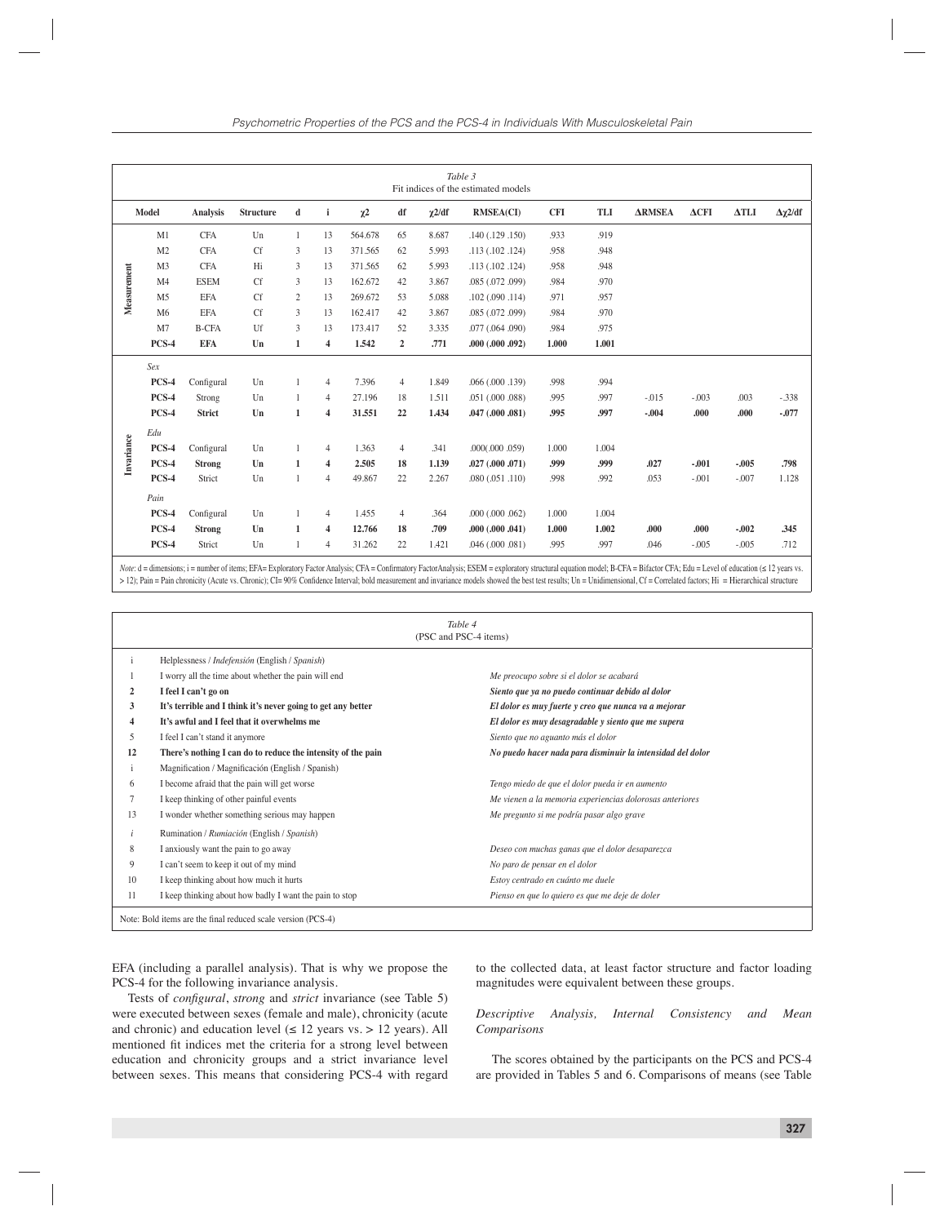|             |                |               |                  |                |                         |          |                |             | Table 3<br>Fit indices of the estimated models |            |       |               |              |              |                    |
|-------------|----------------|---------------|------------------|----------------|-------------------------|----------|----------------|-------------|------------------------------------------------|------------|-------|---------------|--------------|--------------|--------------------|
|             | Model          | Analysis      | <b>Structure</b> | d              | $\mathbf{i}$            | $\chi^2$ | df             | $\chi$ 2/df | <b>RMSEA(CI)</b>                               | <b>CFI</b> | TLI   | <b>ARMSEA</b> | $\Delta$ CFI | $\Delta TLI$ | $\Delta \chi$ 2/df |
|             | M1             | <b>CFA</b>    | Un               | $\mathbf{1}$   | 13                      | 564.678  | 65             | 8.687       | .140(.129.150)                                 | .933       | .919  |               |              |              |                    |
|             | M <sub>2</sub> | <b>CFA</b>    | <b>Cf</b>        | 3              | 13                      | 371.565  | 62             | 5.993       | .113(.102.124)                                 | .958       | .948  |               |              |              |                    |
|             | M <sub>3</sub> | <b>CFA</b>    | Hi               | 3              | 13                      | 371.565  | 62             | 5.993       | .113(.102.124)                                 | .958       | .948  |               |              |              |                    |
| Measurement | M <sub>4</sub> | <b>ESEM</b>   | <b>Cf</b>        | $\overline{3}$ | 13                      | 162.672  | 42             | 3.867       | .085(.072.099)                                 | .984       | .970  |               |              |              |                    |
|             | M <sub>5</sub> | <b>EFA</b>    | <b>Cf</b>        | $\overline{2}$ | 13                      | 269.672  | 53             | 5.088       | .102(.090.114)                                 | .971       | .957  |               |              |              |                    |
|             | M6             | <b>EFA</b>    | <b>Cf</b>        | 3              | 13                      | 162.417  | 42             | 3.867       | .085 (.072 .099)                               | .984       | .970  |               |              |              |                    |
|             | M <sub>7</sub> | <b>B-CFA</b>  | Uf               | 3              | 13                      | 173.417  | 52             | 3.335       | .077(.064.090)                                 | .984       | .975  |               |              |              |                    |
|             | PCS-4          | <b>EFA</b>    | Un               | $\mathbf{1}$   | $\overline{\mathbf{4}}$ | 1.542    | $\overline{2}$ | .771        | .000(.000.092)                                 | 1.000      | 1.001 |               |              |              |                    |
|             | Sex            |               |                  |                |                         |          |                |             |                                                |            |       |               |              |              |                    |
|             | PCS-4          | Configural    | Un               |                | $\overline{4}$          | 7.396    | $\overline{4}$ | 1.849       | .066(.000.139)                                 | .998       | .994  |               |              |              |                    |
|             | PCS-4          | Strong        | Un               | 1              | $\overline{4}$          | 27.196   | 18             | 1.511       | .051(.000.088)                                 | .995       | .997  | $-0.015$      | $-.003$      | .003         | $-.338$            |
|             | PCS-4          | <b>Strict</b> | Un               | $\mathbf{1}$   | $\overline{\mathbf{4}}$ | 31.551   | 22             | 1.434       | $.047$ $(.000$ $.081)$                         | .995       | .997  | $-.004$       | .000         | .000         | $-.077$            |
|             | Edu            |               |                  |                |                         |          |                |             |                                                |            |       |               |              |              |                    |
| Invariance  | <b>PCS-4</b>   | Configural    | Un               | 1              | $\overline{4}$          | 1.363    | 4              | .341        | .000(.000.059)                                 | 1.000      | 1.004 |               |              |              |                    |
|             | PCS-4          | <b>Strong</b> | Un               | 1              | $\overline{4}$          | 2.505    | 18             | 1.139       | .027(.000.071)                                 | .999       | .999  | .027          | $-.001$      | $-.005$      | .798               |
|             | PCS-4          | Strict        | Un               | 1              | $\overline{4}$          | 49.867   | 22             | 2.267       | .080(.051.110)                                 | .998       | .992  | .053          | $-.001$      | $-.007$      | 1.128              |
|             | Pain           |               |                  |                |                         |          |                |             |                                                |            |       |               |              |              |                    |
|             | <b>PCS-4</b>   | Configural    | Un               | 1              | $\overline{4}$          | 1.455    | 4              | .364        | .000(.000.062)                                 | 1.000      | 1.004 |               |              |              |                    |
|             | PCS-4          | <b>Strong</b> | Un               | 1              | $\overline{\mathbf{4}}$ | 12.766   | 18             | .709        | $.000$ $.000$ $.041$                           | 1.000      | 1.002 | .000          | .000         | $-.002$      | .345               |
|             | PCS-4          | Strict        | Un               | 1              | $\overline{4}$          | 31.262   | 22             | 1.421       | .046(.000.081)                                 | .995       | .997  | .046          | $-.005$      | $-.005$      | .712               |

Note: d = dimensions; i = number of items; EFA= Exploratory Factor Analysis; CFA = Confirmatory Factor Analysis; ESEM = exploratory structural equation model; B-CFA = Bifactor CFA; Edu = Level of education (< 12 years vs. > 12); Pain = Pain chronicity (Acute vs. Chronic); CI= 90% Confidence Interval; bold measurement and invariance models showed the best test results; Un = Unidimensional, Cf = Correlated factors; Hi = Hierarchical structure

|              |                                                              | Table 4                                                    |
|--------------|--------------------------------------------------------------|------------------------------------------------------------|
|              |                                                              | (PSC and PSC-4 items)                                      |
| $\mathbf{i}$ | Helplessness / Indefensión (English / Spanish)               |                                                            |
|              | I worry all the time about whether the pain will end         | Me preocupo sobre si el dolor se acabará                   |
| 2            | I feel I can't go on                                         | Siento que ya no puedo continuar debido al dolor           |
| 3            | It's terrible and I think it's never going to get any better | El dolor es muy fuerte y creo que nunca va a mejorar       |
|              | It's awful and I feel that it overwhelms me                  | El dolor es muy desagradable y siento que me supera        |
| 5            | I feel I can't stand it anymore                              | Siento que no aguanto más el dolor                         |
| 12           | There's nothing I can do to reduce the intensity of the pain | No puedo hacer nada para disminuir la intensidad del dolor |
| $\mathbf{1}$ | Magnification / Magnificación (English / Spanish)            |                                                            |
| 6            | I become afraid that the pain will get worse                 | Tengo miedo de que el dolor pueda ir en aumento            |
|              | I keep thinking of other painful events                      | Me vienen a la memoria experiencias dolorosas anteriores   |
| 13           | I wonder whether something serious may happen                | Me pregunto si me podría pasar algo grave                  |
|              | Rumination / Rumiación (English / Spanish)                   |                                                            |
| 8            | I anxiously want the pain to go away                         | Deseo con muchas ganas que el dolor desaparezca            |
| 9            | I can't seem to keep it out of my mind                       | No paro de pensar en el dolor                              |
| 10           | I keep thinking about how much it hurts                      | Estoy centrado en cuánto me duele                          |
| 11           | I keep thinking about how badly I want the pain to stop      | Pienso en que lo quiero es que me deje de doler            |
|              | Note: Bold items are the final reduced scale version (PCS-4) |                                                            |

EFA (including a parallel analysis). That is why we propose the PCS-4 for the following invariance analysis.

Tests of *configural*, *strong* and *strict* invariance (see Table 5) were executed between sexes (female and male), chronicity (acute and chronic) and education level  $( \leq 12 \text{ years vs.} > 12 \text{ years}).$  All mentioned fit indices met the criteria for a strong level between education and chronicity groups and a strict invariance level between sexes. This means that considering PCS-4 with regard to the collected data, at least factor structure and factor loading magnitudes were equivalent between these groups.

*Descriptive Analysis, Internal Consistency and Mean Comparisons*

The scores obtained by the participants on the PCS and PCS-4 are provided in Tables 5 and 6. Comparisons of means (see Table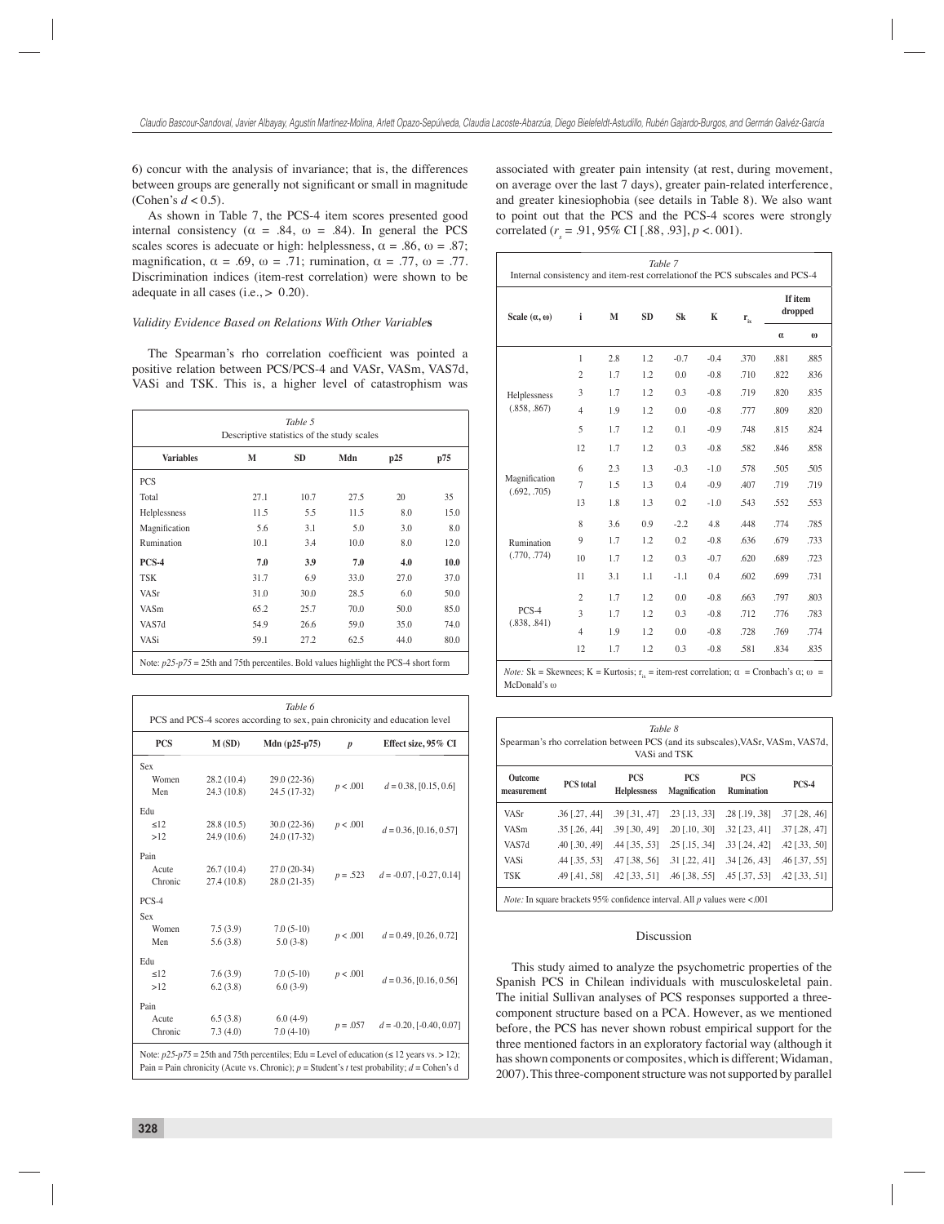6) concur with the analysis of invariance; that is, the differences between groups are generally not significant or small in magnitude (Cohen's  $d < 0.5$ ).

As shown in Table 7, the PCS-4 item scores presented good internal consistency ( $\alpha = .84$ ,  $\omega = .84$ ). In general the PCS scales scores is adecuate or high: helplessness,  $\alpha = .86$ ,  $\omega = .87$ ; magnification,  $\alpha = .69$ ,  $\omega = .71$ ; rumination,  $\alpha = .77$ ,  $\omega = .77$ . Discrimination indices (item-rest correlation) were shown to be adequate in all cases (i.e.,  $> 0.20$ ).

#### *Validity Evidence Based on Relations With Other Variable***s**

The Spearman's rho correlation coefficient was pointed a positive relation between PCS/PCS-4 and VASr, VASm, VAS7d, VASi and TSK. This is, a higher level of catastrophism was

| Table 5<br>Descriptive statistics of the study scales |      |           |      |      |      |  |  |  |  |  |
|-------------------------------------------------------|------|-----------|------|------|------|--|--|--|--|--|
| <b>Variables</b>                                      | М    | <b>SD</b> | Mdn  | p25  | p75  |  |  |  |  |  |
| <b>PCS</b>                                            |      |           |      |      |      |  |  |  |  |  |
| Total                                                 | 27.1 | 10.7      | 27.5 | 20   | 35   |  |  |  |  |  |
| Helplessness                                          | 11.5 | 5.5       | 11.5 | 8.0  | 15.0 |  |  |  |  |  |
| Magnification                                         | 5.6  | 3.1       | 5.0  | 3.0  | 8.0  |  |  |  |  |  |
| Rumination                                            | 10.1 | 3.4       | 10.0 | 8.0  | 12.0 |  |  |  |  |  |
| PCS-4                                                 | 7.0  | 3.9       | 7.0  | 4.0  | 10.0 |  |  |  |  |  |
| <b>TSK</b>                                            | 31.7 | 6.9       | 33.0 | 27.0 | 37.0 |  |  |  |  |  |
| VASr                                                  | 31.0 | 30.0      | 28.5 | 6.0  | 50.0 |  |  |  |  |  |
| VASm                                                  | 65.2 | 25.7      | 70.0 | 50.0 | 85.0 |  |  |  |  |  |
| VAS7d                                                 | 54.9 | 26.6      | 59.0 | 35.0 | 74.0 |  |  |  |  |  |
| VASi                                                  | 59.1 | 27.2      | 62.5 | 44.0 | 80.0 |  |  |  |  |  |

| <b>PCS</b> | M(SD)       | Mdn $(p25-p75)$ | $\boldsymbol{p}$ | Effect size, 95% CI           |  |  |
|------------|-------------|-----------------|------------------|-------------------------------|--|--|
| Sex        |             |                 |                  |                               |  |  |
| Women      | 28.2(10.4)  | 29.0 (22-36)    | p < .001         |                               |  |  |
| Men        | 24.3 (10.8) | 24.5 (17-32)    |                  | $d = 0.38, [0.15, 0.6]$       |  |  |
| Edu        |             |                 |                  |                               |  |  |
| <12        | 28.8(10.5)  | $30.0(22-36)$   | p < .001         |                               |  |  |
| >12        | 24.9(10.6)  | 24.0 (17-32)    |                  | $d = 0.36$ , [0.16, 0.57]     |  |  |
| Pain       |             |                 |                  |                               |  |  |
| Acute      | 26.7(10.4)  | $27.0(20-34)$   |                  |                               |  |  |
| Chronic    | 27.4 (10.8) | $28.0(21-35)$   | $p = .523$       | $d = -0.07$ , $[-0.27, 0.14]$ |  |  |
| $PCS-4$    |             |                 |                  |                               |  |  |
| Sex        |             |                 |                  |                               |  |  |
| Women      | 7.5(3.9)    | $7.0(5-10)$     | p < .001         | $d = 0.49, [0.26, 0.72]$      |  |  |
| Men        | 5.6(3.8)    | $5.0(3-8)$      |                  |                               |  |  |
| Edu        |             |                 |                  |                               |  |  |
| $\leq$ 12  | 7.6(3.9)    | $7.0(5-10)$     | p < .001         |                               |  |  |
| >12        | 6.2(3.8)    | $6.0(3-9)$      |                  | $d = 0.36$ , [0.16, 0.56]     |  |  |
| Pain       |             |                 |                  |                               |  |  |
| Acute      | 6.5(3.8)    | $6.0(4-9)$      |                  |                               |  |  |
| Chronic    | 7.3(4.0)    | $7.0(4-10)$     | $p = .057$       | $d = -0.20$ , $[-0.40, 0.07]$ |  |  |

associated with greater pain intensity (at rest, during movement, on average over the last 7 days), greater pain-related interference, and greater kinesiophobia (see details in Table 8). We also want to point out that the PCS and the PCS-4 scores were strongly correlated  $(r_s = .91, 95\% \text{ CI} [.88, .93], p < .001)$ .

| Scale $(\alpha, \omega)$      | i              | M   | <b>SD</b> | Sk     | K      | $\mathbf{r}_{i}$ | If item<br>dropped |          |  |
|-------------------------------|----------------|-----|-----------|--------|--------|------------------|--------------------|----------|--|
|                               |                |     |           |        |        |                  | $\alpha$           | $\omega$ |  |
|                               | $\mathbf{1}$   | 2.8 | 1.2       | $-0.7$ | $-0.4$ | .370             | .881               | .885     |  |
|                               | $\overline{c}$ | 1.7 | 1.2       | 0.0    | $-0.8$ | .710             | .822               | .836     |  |
| Helplessness                  | 3              | 1.7 | 1.2       | 0.3    | $-0.8$ | .719             | .820               | .835     |  |
| (.858, .867)                  | $\overline{4}$ | 1.9 | 1.2       | 0.0    | $-0.8$ | .777             | .809               | .820     |  |
|                               | 5              | 1.7 | 1.2       | 0.1    | $-0.9$ | .748             | .815               | .824     |  |
|                               | 12             | 1.7 | 1.2       | 0.3    | $-0.8$ | .582             | .846               | .858     |  |
|                               | 6              | 2.3 | 1.3       | $-0.3$ | $-1.0$ | .578             | .505               | .505     |  |
| Magnification<br>(.692, .705) | $\overline{7}$ | 1.5 | 1.3       | 0.4    | $-0.9$ | .407             | .719               | .719     |  |
|                               | 13             | 1.8 | 1.3       | 0.2    | $-1.0$ | .543             | .552               | .553     |  |
|                               | 8              | 3.6 | 0.9       | $-2.2$ | 4.8    | .448             | .774               | .785     |  |
| Rumination                    | 9              | 1.7 | 1.2       | 0.2    | $-0.8$ | .636             | .679               | .733     |  |
| (.770, .774)                  | 10             | 1.7 | 1.2       | 0.3    | $-0.7$ | .620             | .689               | .723     |  |
|                               | 11             | 3.1 | 1.1       | $-1.1$ | 0.4    | .602             | .699               | .731     |  |
|                               | $\overline{c}$ | 1.7 | 1.2       | 0.0    | $-0.8$ | .663             | .797               | .803     |  |
| PCS-4                         | 3              | 1.7 | 1.2       | 0.3    | $-0.8$ | .712             | .776               | .783     |  |
| (.838, .841)                  | $\overline{4}$ | 1.9 | 1.2       | 0.0    | $-0.8$ | .728             | .769               | .774     |  |
|                               | 12             | 1.7 | 1.2       | 0.3    | $-0.8$ | .581             | .834               | .835     |  |

*Note:* Sk = Skewnees; K = Kurtosis;  $r_{i\sigma}$  = item-rest correlation;  $\alpha$  = Cronbach's  $\alpha$ ;  $\omega$  = McDonald's ω

| Table 8<br>Spearman's rho correlation between PCS (and its subscales), VASr, VASm, VAS7d,<br>VASi and TSK |                         |                                   |                                    |                                 |                      |  |  |  |  |  |
|-----------------------------------------------------------------------------------------------------------|-------------------------|-----------------------------------|------------------------------------|---------------------------------|----------------------|--|--|--|--|--|
| Outcome<br>measurement                                                                                    | <b>PCS</b> total        | <b>PCS</b><br><b>Helplessness</b> | <b>PCS</b><br><b>Magnification</b> | <b>PCS</b><br><b>Rumination</b> | PCS-4                |  |  |  |  |  |
| VASr                                                                                                      | $.36$ [.27, .44]        | $.39$ [.31, .47]                  | $.23$ [ $.13$ , $.33$ ]            | $.28$ [.19, .38]                | $.37$ [.28, .46]     |  |  |  |  |  |
| VASm                                                                                                      | $.35$ [ $.26$ , $.44$ ] | $.39$ $[.30, .49]$                | $.20$ [.10, .30]                   | $.32$ $1.23$ , $.411$           | $.37$ [.28, .47]     |  |  |  |  |  |
| VAS7d                                                                                                     | .40 [.30, .49]          | $.44$ [ $.35, .53$ ]              | $.25$ [.15, .34]                   | $.33$ $1.24$ , $.421$           | $.42$ [ $.33, .50$ ] |  |  |  |  |  |
| <b>VASi</b>                                                                                               | .44 [.35, .53]          | .47 [.38, .56]                    | $.31$ $[.22, .41]$                 | $.34$ $[.26, .43]$              | .46 [.37, .55]       |  |  |  |  |  |
| <b>TSK</b>                                                                                                | $.49$ [.41, .58]        | $.42$ [ $.33, .51$ ]              | $.46$ [ $.38, .55$ ]               | $.45$ [.37, .53]                | .42 [.33, .51]       |  |  |  |  |  |

#### Discussion

This study aimed to analyze the psychometric properties of the Spanish PCS in Chilean individuals with musculoskeletal pain. The initial Sullivan analyses of PCS responses supported a threecomponent structure based on a PCA. However, as we mentioned before, the PCS has never shown robust empirical support for the three mentioned factors in an exploratory factorial way (although it has shown components or composites, which is different; Widaman, 2007). This three-component structure was not supported by parallel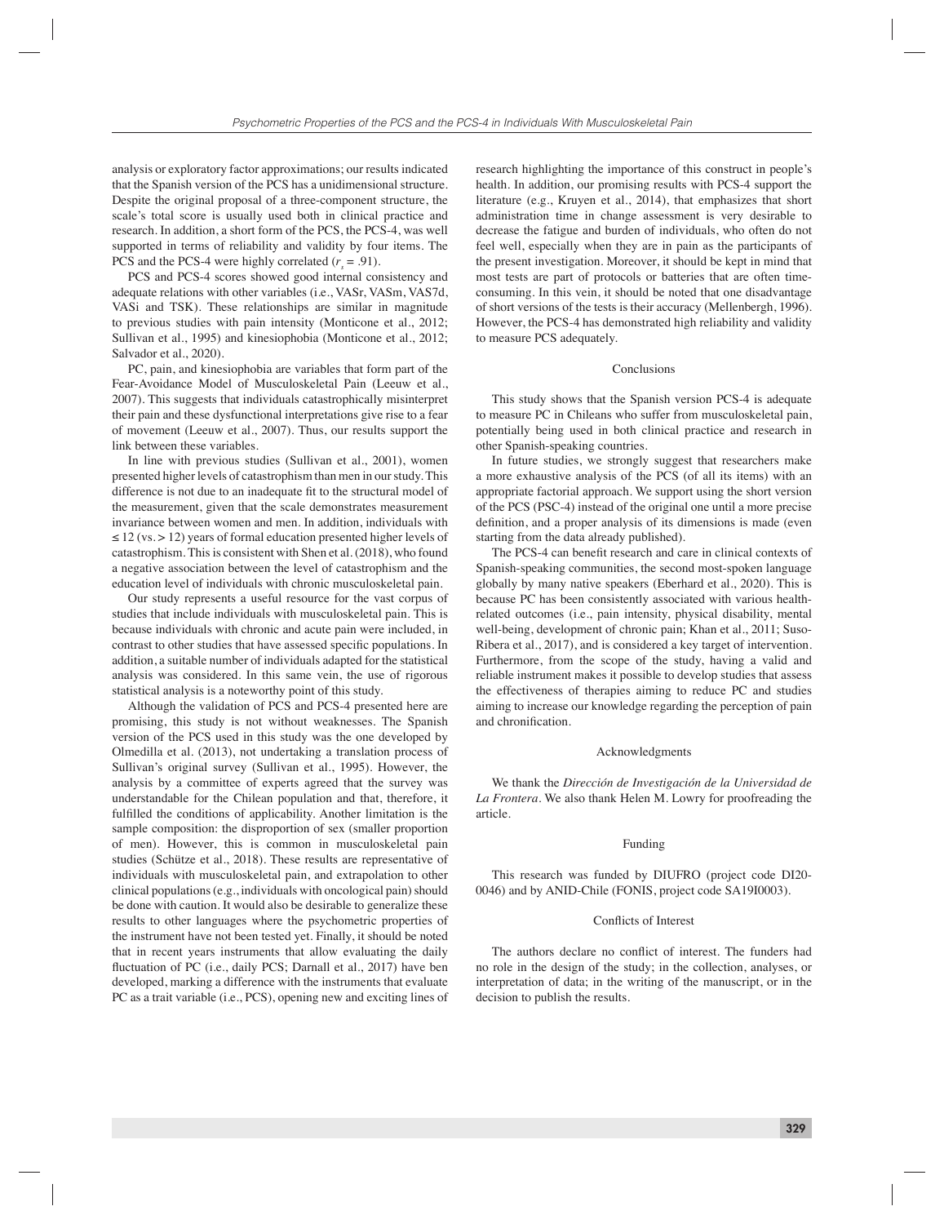analysis or exploratory factor approximations; our results indicated that the Spanish version of the PCS has a unidimensional structure. Despite the original proposal of a three-component structure, the scale's total score is usually used both in clinical practice and research. In addition, a short form of the PCS, the PCS-4, was well supported in terms of reliability and validity by four items. The PCS and the PCS-4 were highly correlated  $(r_s = .91)$ .

PCS and PCS-4 scores showed good internal consistency and adequate relations with other variables (i.e., VASr, VASm, VAS7d, VASi and TSK). These relationships are similar in magnitude to previous studies with pain intensity (Monticone et al., 2012; Sullivan et al., 1995) and kinesiophobia (Monticone et al., 2012; Salvador et al., 2020).

PC, pain, and kinesiophobia are variables that form part of the Fear-Avoidance Model of Musculoskeletal Pain (Leeuw et al., 2007). This suggests that individuals catastrophically misinterpret their pain and these dysfunctional interpretations give rise to a fear of movement (Leeuw et al., 2007). Thus, our results support the link between these variables.

In line with previous studies (Sullivan et al., 2001), women presented higher levels of catastrophism than men in our study. This difference is not due to an inadequate fit to the structural model of the measurement, given that the scale demonstrates measurement invariance between women and men. In addition, individuals with  $\leq$  12 (vs. > 12) years of formal education presented higher levels of catastrophism. This is consistent with Shen et al. (2018), who found a negative association between the level of catastrophism and the education level of individuals with chronic musculoskeletal pain.

Our study represents a useful resource for the vast corpus of studies that include individuals with musculoskeletal pain. This is because individuals with chronic and acute pain were included, in contrast to other studies that have assessed specific populations. In addition, a suitable number of individuals adapted for the statistical analysis was considered. In this same vein, the use of rigorous statistical analysis is a noteworthy point of this study.

Although the validation of PCS and PCS-4 presented here are promising, this study is not without weaknesses. The Spanish version of the PCS used in this study was the one developed by Olmedilla et al. (2013), not undertaking a translation process of Sullivan's original survey (Sullivan et al., 1995). However, the analysis by a committee of experts agreed that the survey was understandable for the Chilean population and that, therefore, it fulfilled the conditions of applicability. Another limitation is the sample composition: the disproportion of sex (smaller proportion of men). However, this is common in musculoskeletal pain studies (Schütze et al., 2018). These results are representative of individuals with musculoskeletal pain, and extrapolation to other clinical populations (e.g., individuals with oncological pain) should be done with caution. It would also be desirable to generalize these results to other languages where the psychometric properties of the instrument have not been tested yet. Finally, it should be noted that in recent years instruments that allow evaluating the daily fluctuation of PC (i.e., daily PCS; Darnall et al., 2017) have ben developed, marking a difference with the instruments that evaluate PC as a trait variable (i.e., PCS), opening new and exciting lines of

research highlighting the importance of this construct in people's health. In addition, our promising results with PCS-4 support the literature (e.g., Kruyen et al., 2014), that emphasizes that short administration time in change assessment is very desirable to decrease the fatigue and burden of individuals, who often do not feel well, especially when they are in pain as the participants of the present investigation. Moreover, it should be kept in mind that most tests are part of protocols or batteries that are often timeconsuming. In this vein, it should be noted that one disadvantage of short versions of the tests is their accuracy (Mellenbergh, 1996). However, the PCS-4 has demonstrated high reliability and validity to measure PCS adequately.

#### Conclusions

This study shows that the Spanish version PCS-4 is adequate to measure PC in Chileans who suffer from musculoskeletal pain, potentially being used in both clinical practice and research in other Spanish-speaking countries.

In future studies, we strongly suggest that researchers make a more exhaustive analysis of the PCS (of all its items) with an appropriate factorial approach. We support using the short version of the PCS (PSC-4) instead of the original one until a more precise definition, and a proper analysis of its dimensions is made (even starting from the data already published).

The PCS-4 can benefit research and care in clinical contexts of Spanish-speaking communities, the second most-spoken language globally by many native speakers (Eberhard et al., 2020). This is because PC has been consistently associated with various healthrelated outcomes (i.e., pain intensity, physical disability, mental well-being, development of chronic pain; Khan et al., 2011; Suso-Ribera et al., 2017), and is considered a key target of intervention. Furthermore, from the scope of the study, having a valid and reliable instrument makes it possible to develop studies that assess the effectiveness of therapies aiming to reduce PC and studies aiming to increase our knowledge regarding the perception of pain and chronification.

#### Acknowledgments

We thank the *Dirección de Investigación de la Universidad de La Frontera*. We also thank Helen M. Lowry for proofreading the article.

### Funding

This research was funded by DIUFRO (project code DI20- 0046) and by ANID-Chile (FONIS, project code SA19I0003).

#### Conflicts of Interest

The authors declare no conflict of interest. The funders had no role in the design of the study; in the collection, analyses, or interpretation of data; in the writing of the manuscript, or in the decision to publish the results.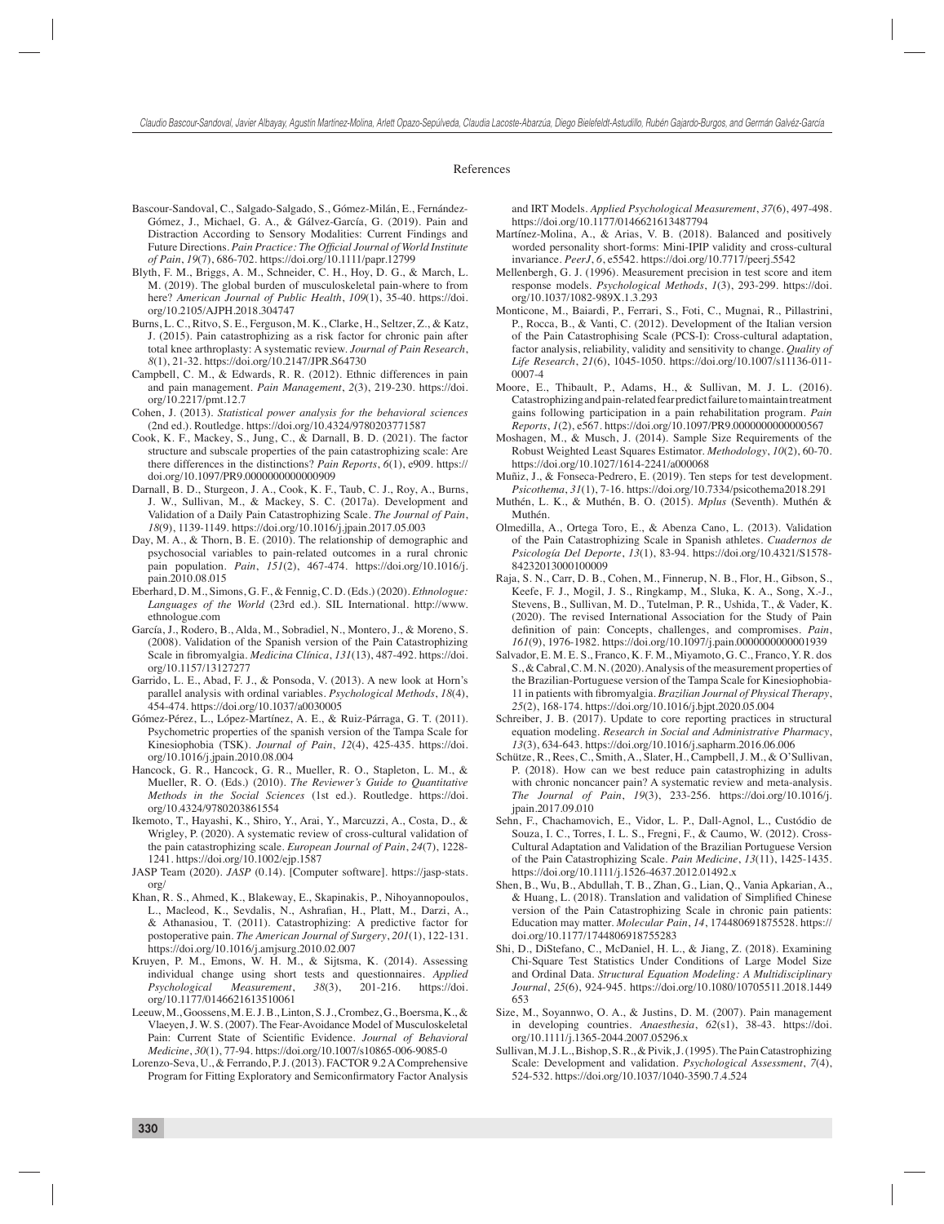#### References

- Bascour-Sandoval, C., Salgado-Salgado, S., Gómez-Milán, E., Fernández-Gómez, J., Michael, G. A., & Gálvez-García, G. (2019). Pain and Distraction According to Sensory Modalities: Current Findings and Future Directions. *Pain Practice: The Official Journal of World Institute of Pain*, *19*(7), 686-702. https://doi.org/10.1111/papr.12799
- Blyth, F. M., Briggs, A. M., Schneider, C. H., Hoy, D. G., & March, L. M. (2019). The global burden of musculoskeletal pain-where to from here? *American Journal of Public Health*, *109*(1), 35-40. https://doi. org/10.2105/AJPH.2018.304747
- Burns, L. C., Ritvo, S. E., Ferguson, M. K., Clarke, H., Seltzer, Z., & Katz, J. (2015). Pain catastrophizing as a risk factor for chronic pain after total knee arthroplasty: A systematic review. *Journal of Pain Research*, *8*(1), 21-32. https://doi.org/10.2147/JPR.S64730
- Campbell, C. M., & Edwards, R. R. (2012). Ethnic differences in pain and pain management. *Pain Management*, *2*(3), 219-230. https://doi. org/10.2217/pmt.12.7
- Cohen, J. (2013). *Statistical power analysis for the behavioral sciences* (2nd ed.). Routledge. https://doi.org/10.4324/9780203771587
- Cook, K. F., Mackey, S., Jung, C., & Darnall, B. D. (2021). The factor structure and subscale properties of the pain catastrophizing scale: Are there differences in the distinctions? *Pain Reports*, *6*(1), e909. https:// doi.org/10.1097/PR9.0000000000000909
- Darnall, B. D., Sturgeon, J. A., Cook, K. F., Taub, C. J., Roy, A., Burns, J. W., Sullivan, M., & Mackey, S. C. (2017a). Development and Validation of a Daily Pain Catastrophizing Scale. *The Journal of Pain*, *18*(9), 1139-1149. https://doi.org/10.1016/j.jpain.2017.05.003
- Day, M. A., & Thorn, B. E. (2010). The relationship of demographic and psychosocial variables to pain-related outcomes in a rural chronic pain population. *Pain*, *151*(2), 467-474. https://doi.org/10.1016/j. pain.2010.08.015
- Eberhard, D. M., Simons, G. F., & Fennig, C. D. (Eds.) (2020). *Ethnologue: Languages of the World* (23rd ed.). SIL International. http://www. ethnologue.com
- García, J., Rodero, B., Alda, M., Sobradiel, N., Montero, J., & Moreno, S. (2008). Validation of the Spanish version of the Pain Catastrophizing Scale in fibromyalgia. *Medicina Clínica*, 131(13), 487-492. https://doi. org/10.1157/13127277
- Garrido, L. E., Abad, F. J., & Ponsoda, V. (2013). A new look at Horn's parallel analysis with ordinal variables. *Psychological Methods*, *18*(4), 454-474. https://doi.org/10.1037/a0030005
- Gómez-Pérez, L., López-Martínez, A. E., & Ruiz-Párraga, G. T. (2011). Psychometric properties of the spanish version of the Tampa Scale for Kinesiophobia (TSK). *Journal of Pain*, *12*(4), 425-435. https://doi. org/10.1016/j.jpain.2010.08.004
- Hancock, G. R., Hancock, G. R., Mueller, R. O., Stapleton, L. M., & Mueller, R. O. (Eds.) (2010). *The Reviewer's Guide to Quantitative Methods in the Social Sciences* (1st ed.). Routledge. https://doi. org/10.4324/9780203861554
- Ikemoto, T., Hayashi, K., Shiro, Y., Arai, Y., Marcuzzi, A., Costa, D., & Wrigley, P. (2020). A systematic review of cross-cultural validation of the pain catastrophizing scale. *European Journal of Pain*, *24*(7), 1228- 1241. https://doi.org/10.1002/ejp.1587
- JASP Team (2020). *JASP* (0.14). [Computer software]. https://jasp-stats. org/
- Khan, R. S., Ahmed, K., Blakeway, E., Skapinakis, P., Nihoyannopoulos, L., Macleod, K., Sevdalis, N., Ashrafian, H., Platt, M., Darzi, A., & Athanasiou, T. (2011). Catastrophizing: A predictive factor for postoperative pain. *The American Journal of Surgery*, *201*(1), 122-131. https://doi.org/10.1016/j.amjsurg.2010.02.007
- Kruyen, P. M., Emons, W. H. M., & Sijtsma, K. (2014). Assessing individual change using short tests and questionnaires. *Applied Psychological Measurement*, *38*(3), 201-216. https://doi. org/10.1177/0146621613510061
- Leeuw, M., Goossens, M. E. J. B., Linton, S. J., Crombez, G., Boersma, K., & Vlaeyen, J. W. S. (2007). The Fear-Avoidance Model of Musculoskeletal Pain: Current State of Scientific Evidence. *Journal of Behavioral Medicine*, *30*(1), 77-94. https://doi.org/10.1007/s10865-006-9085-0
- Lorenzo-Seva, U., & Ferrando, P. J. (2013). FACTOR 9.2 A Comprehensive Program for Fitting Exploratory and Semiconfirmatory Factor Analysis

and IRT Models. *Applied Psychological Measurement*, *37*(6), 497-498. https://doi.org/10.1177/0146621613487794

- Martínez-Molina, A., & Arias, V. B. (2018). Balanced and positively worded personality short-forms: Mini-IPIP validity and cross-cultural invariance. *PeerJ*, *6*, e5542. https://doi.org/10.7717/peerj.5542
- Mellenbergh, G. J. (1996). Measurement precision in test score and item response models. *Psychological Methods*, *1*(3), 293-299. https://doi. org/10.1037/1082-989X.1.3.293
- Monticone, M., Baiardi, P., Ferrari, S., Foti, C., Mugnai, R., Pillastrini, P., Rocca, B., & Vanti, C. (2012). Development of the Italian version of the Pain Catastrophising Scale (PCS-I): Cross-cultural adaptation, factor analysis, reliability, validity and sensitivity to change. *Quality of Life Research*, *21*(6), 1045-1050. https://doi.org/10.1007/s11136-011- 0007-4
- Moore, E., Thibault, P., Adams, H., & Sullivan, M. J. L. (2016). Catastrophizing and pain-related fear predict failure to maintain treatment gains following participation in a pain rehabilitation program. *Pain Reports*, *1*(2), e567. https://doi.org/10.1097/PR9.0000000000000567
- Moshagen, M., & Musch, J. (2014). Sample Size Requirements of the Robust Weighted Least Squares Estimator. *Methodology*, *10*(2), 60-70. https://doi.org/10.1027/1614-2241/a000068
- Muñiz, J., & Fonseca-Pedrero, E. (2019). Ten steps for test development. *Psicothema*, *31*(1), 7-16. https://doi.org/10.7334/psicothema2018.291
- Muthén, L. K., & Muthén, B. O. (2015). *Mplus* (Seventh). Muthén & Muthén.
- Olmedilla, A., Ortega Toro, E., & Abenza Cano, L. (2013). Validation of the Pain Catastrophizing Scale in Spanish athletes. *Cuadernos de Psicología Del Deporte*, *13*(1), 83-94. https://doi.org/10.4321/S1578- 84232013000100009
- Raja, S. N., Carr, D. B., Cohen, M., Finnerup, N. B., Flor, H., Gibson, S., Keefe, F. J., Mogil, J. S., Ringkamp, M., Sluka, K. A., Song, X.-J., Stevens, B., Sullivan, M. D., Tutelman, P. R., Ushida, T., & Vader, K. (2020). The revised International Association for the Study of Pain definition of pain: Concepts, challenges, and compromises. Pain, *161*(9), 1976-1982. https://doi.org/10.1097/j.pain.0000000000001939
- Salvador, E. M. E. S., Franco, K. F. M., Miyamoto, G. C., Franco, Y. R. dos S., & Cabral, C. M. N. (2020). Analysis of the measurement properties of the Brazilian-Portuguese version of the Tampa Scale for Kinesiophobia-11 in patients with fibromyalgia. *Brazilian Journal of Physical Therapy*, *25*(2), 168-174. https://doi.org/10.1016/j.bjpt.2020.05.004
- Schreiber, J. B. (2017). Update to core reporting practices in structural equation modeling. *Research in Social and Administrative Pharmacy*, *13*(3), 634-643. https://doi.org/10.1016/j.sapharm.2016.06.006
- Schütze, R., Rees, C., Smith, A., Slater, H., Campbell, J. M., & O'Sullivan, P. (2018). How can we best reduce pain catastrophizing in adults with chronic noncancer pain? A systematic review and meta-analysis. *The Journal of Pain*, *19*(3), 233-256. https://doi.org/10.1016/j. jpain.2017.09.010
- Sehn, F., Chachamovich, E., Vidor, L. P., Dall-Agnol, L., Custódio de Souza, I. C., Torres, I. L. S., Fregni, F., & Caumo, W. (2012). Cross-Cultural Adaptation and Validation of the Brazilian Portuguese Version of the Pain Catastrophizing Scale. *Pain Medicine*, *13*(11), 1425-1435. https://doi.org/10.1111/j.1526-4637.2012.01492.x
- Shen, B., Wu, B., Abdullah, T. B., Zhan, G., Lian, Q., Vania Apkarian, A., & Huang, L. (2018). Translation and validation of Simplified Chinese version of the Pain Catastrophizing Scale in chronic pain patients: Education may matter. *Molecular Pain*, *14*, 174480691875528. https:// doi.org/10.1177/1744806918755283
- Shi, D., DiStefano, C., McDaniel, H. L., & Jiang, Z. (2018). Examining Chi-Square Test Statistics Under Conditions of Large Model Size and Ordinal Data. *Structural Equation Modeling: A Multidisciplinary Journal*, *25*(6), 924-945. https://doi.org/10.1080/10705511.2018.1449 653
- Size, M., Soyannwo, O. A., & Justins, D. M. (2007). Pain management in developing countries. *Anaesthesia*, *62*(s1), 38-43. https://doi. org/10.1111/j.1365-2044.2007.05296.x
- Sullivan, M. J. L., Bishop, S. R., & Pivik, J. (1995). The Pain Catastrophizing Scale: Development and validation. *Psychological Assessment*, *7*(4), 524-532. https://doi.org/10.1037/1040-3590.7.4.524